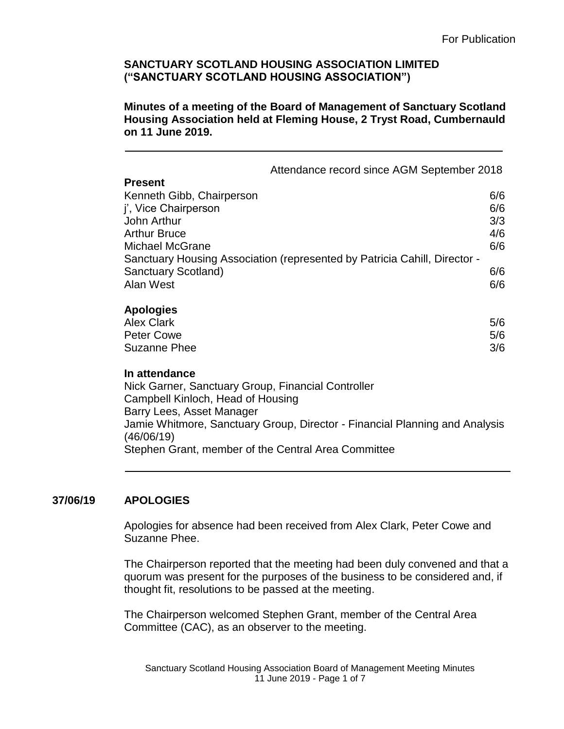**Minutes of a meeting of the Board of Management of Sanctuary Scotland Housing Association held at Fleming House, 2 Tryst Road, Cumbernauld on 11 June 2019.**

|                                                                                                                                                                                                                                    | Attendance record since AGM September 2018                                |                                 |
|------------------------------------------------------------------------------------------------------------------------------------------------------------------------------------------------------------------------------------|---------------------------------------------------------------------------|---------------------------------|
| <b>Present</b><br>Kenneth Gibb, Chairperson<br>j', Vice Chairperson<br>John Arthur<br><b>Arthur Bruce</b><br><b>Michael McGrane</b>                                                                                                | Sanctuary Housing Association (represented by Patricia Cahill, Director - | 6/6<br>6/6<br>3/3<br>4/6<br>6/6 |
| Sanctuary Scotland)<br>Alan West                                                                                                                                                                                                   |                                                                           | 6/6<br>6/6                      |
| <b>Apologies</b><br><b>Alex Clark</b><br><b>Peter Cowe</b><br><b>Suzanne Phee</b>                                                                                                                                                  |                                                                           | 5/6<br>5/6<br>3/6               |
| In attendance<br>Nick Garner, Sanctuary Group, Financial Controller<br>Campbell Kinloch, Head of Housing<br>Barry Lees, Asset Manager<br>Jamie Whitmore, Sanctuary Group, Director - Financial Planning and Analysis<br>(46/06/19) |                                                                           |                                 |

# **37/06/19 APOLOGIES**

Apologies for absence had been received from Alex Clark, Peter Cowe and Suzanne Phee.

Stephen Grant, member of the Central Area Committee

The Chairperson reported that the meeting had been duly convened and that a quorum was present for the purposes of the business to be considered and, if thought fit, resolutions to be passed at the meeting.

The Chairperson welcomed Stephen Grant, member of the Central Area Committee (CAC), as an observer to the meeting.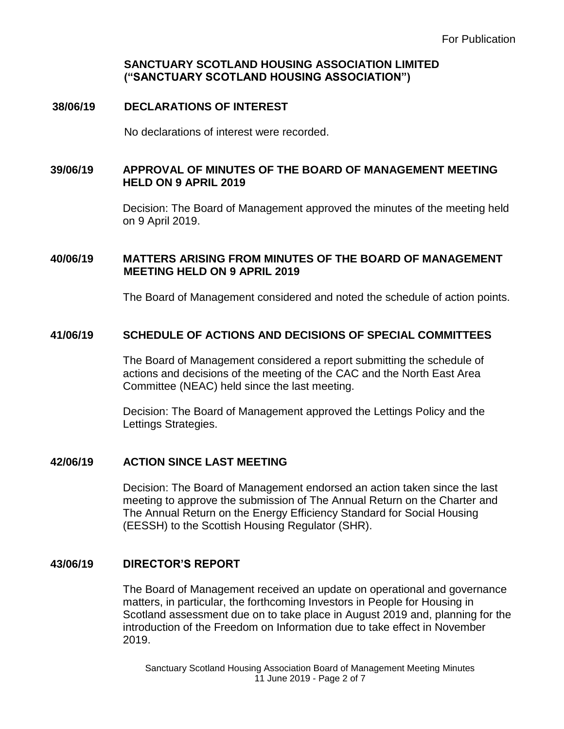# **38/06/19 DECLARATIONS OF INTEREST**

No declarations of interest were recorded.

# **39/06/19 APPROVAL OF MINUTES OF THE BOARD OF MANAGEMENT MEETING HELD ON 9 APRIL 2019**

Decision: The Board of Management approved the minutes of the meeting held on 9 April 2019.

## **40/06/19 MATTERS ARISING FROM MINUTES OF THE BOARD OF MANAGEMENT MEETING HELD ON 9 APRIL 2019**

The Board of Management considered and noted the schedule of action points.

## **41/06/19 SCHEDULE OF ACTIONS AND DECISIONS OF SPECIAL COMMITTEES**

The Board of Management considered a report submitting the schedule of actions and decisions of the meeting of the CAC and the North East Area Committee (NEAC) held since the last meeting.

Decision: The Board of Management approved the Lettings Policy and the Lettings Strategies.

#### **42/06/19 ACTION SINCE LAST MEETING**

Decision: The Board of Management endorsed an action taken since the last meeting to approve the submission of The Annual Return on the Charter and The Annual Return on the Energy Efficiency Standard for Social Housing (EESSH) to the Scottish Housing Regulator (SHR).

#### **43/06/19 DIRECTOR'S REPORT**

The Board of Management received an update on operational and governance matters, in particular, the forthcoming Investors in People for Housing in Scotland assessment due on to take place in August 2019 and, planning for the introduction of the Freedom on Information due to take effect in November 2019.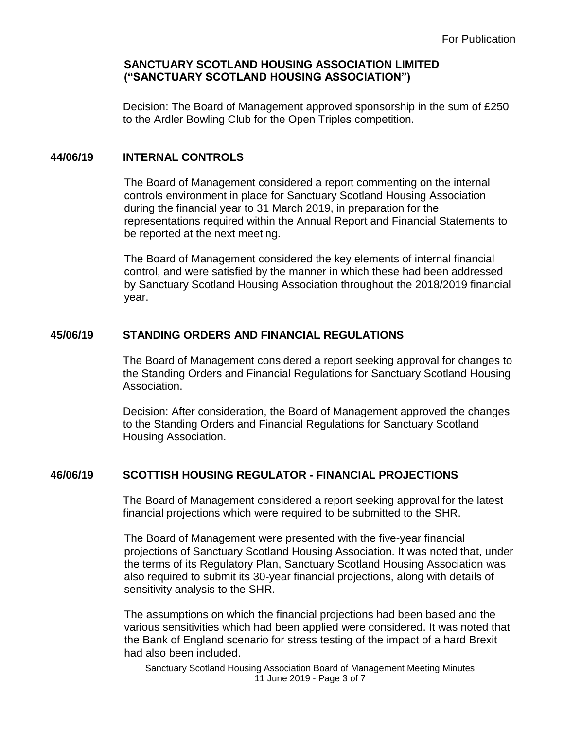Decision: The Board of Management approved sponsorship in the sum of £250 to the Ardler Bowling Club for the Open Triples competition.

# **44/06/19 INTERNAL CONTROLS**

The Board of Management considered a report commenting on the internal controls environment in place for Sanctuary Scotland Housing Association during the financial year to 31 March 2019, in preparation for the representations required within the Annual Report and Financial Statements to be reported at the next meeting.

The Board of Management considered the key elements of internal financial control, and were satisfied by the manner in which these had been addressed by Sanctuary Scotland Housing Association throughout the 2018/2019 financial year.

# **45/06/19 STANDING ORDERS AND FINANCIAL REGULATIONS**

The Board of Management considered a report seeking approval for changes to the Standing Orders and Financial Regulations for Sanctuary Scotland Housing Association.

Decision: After consideration, the Board of Management approved the changes to the Standing Orders and Financial Regulations for Sanctuary Scotland Housing Association.

# **46/06/19 SCOTTISH HOUSING REGULATOR - FINANCIAL PROJECTIONS**

The Board of Management considered a report seeking approval for the latest financial projections which were required to be submitted to the SHR.

The Board of Management were presented with the five-year financial projections of Sanctuary Scotland Housing Association. It was noted that, under the terms of its Regulatory Plan, Sanctuary Scotland Housing Association was also required to submit its 30-year financial projections, along with details of sensitivity analysis to the SHR.

The assumptions on which the financial projections had been based and the various sensitivities which had been applied were considered. It was noted that the Bank of England scenario for stress testing of the impact of a hard Brexit had also been included.

Sanctuary Scotland Housing Association Board of Management Meeting Minutes 11 June 2019 - Page 3 of 7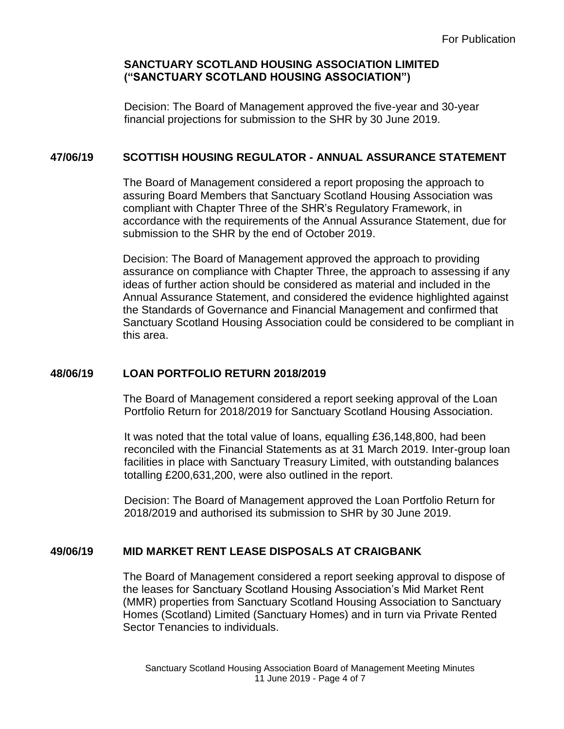Decision: The Board of Management approved the five-year and 30-year financial projections for submission to the SHR by 30 June 2019.

# **47/06/19 SCOTTISH HOUSING REGULATOR - ANNUAL ASSURANCE STATEMENT**

The Board of Management considered a report proposing the approach to assuring Board Members that Sanctuary Scotland Housing Association was compliant with Chapter Three of the SHR's Regulatory Framework, in accordance with the requirements of the Annual Assurance Statement, due for submission to the SHR by the end of October 2019.

Decision: The Board of Management approved the approach to providing assurance on compliance with Chapter Three, the approach to assessing if any ideas of further action should be considered as material and included in the Annual Assurance Statement, and considered the evidence highlighted against the Standards of Governance and Financial Management and confirmed that Sanctuary Scotland Housing Association could be considered to be compliant in this area.

# **48/06/19 LOAN PORTFOLIO RETURN 2018/2019**

 The Board of Management considered a report seeking approval of the Loan Portfolio Return for 2018/2019 for Sanctuary Scotland Housing Association.

It was noted that the total value of loans, equalling £36,148,800, had been reconciled with the Financial Statements as at 31 March 2019. Inter-group loan facilities in place with Sanctuary Treasury Limited, with outstanding balances totalling £200,631,200, were also outlined in the report.

Decision: The Board of Management approved the Loan Portfolio Return for 2018/2019 and authorised its submission to SHR by 30 June 2019.

# **49/06/19 MID MARKET RENT LEASE DISPOSALS AT CRAIGBANK**

The Board of Management considered a report seeking approval to dispose of the leases for Sanctuary Scotland Housing Association's Mid Market Rent (MMR) properties from Sanctuary Scotland Housing Association to Sanctuary Homes (Scotland) Limited (Sanctuary Homes) and in turn via Private Rented Sector Tenancies to individuals.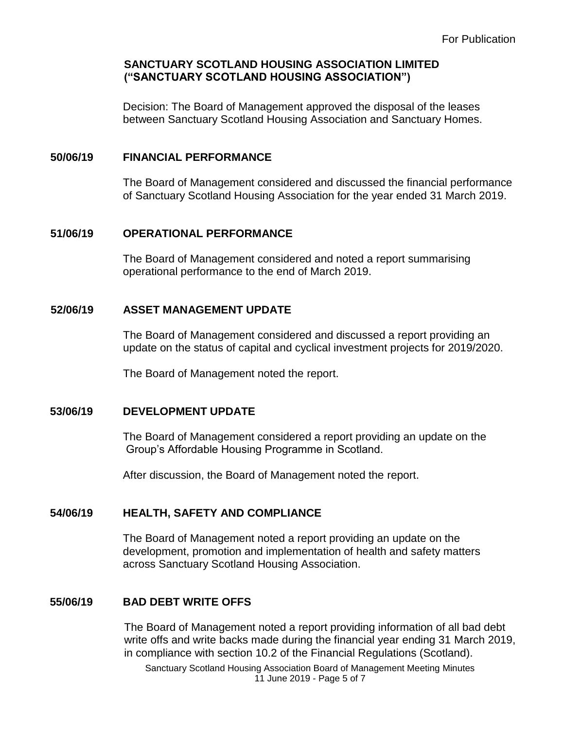Decision: The Board of Management approved the disposal of the leases between Sanctuary Scotland Housing Association and Sanctuary Homes.

#### **50/06/19 FINANCIAL PERFORMANCE**

The Board of Management considered and discussed the financial performance of Sanctuary Scotland Housing Association for the year ended 31 March 2019.

### **51/06/19 OPERATIONAL PERFORMANCE**

The Board of Management considered and noted a report summarising operational performance to the end of March 2019.

### **52/06/19 ASSET MANAGEMENT UPDATE**

The Board of Management considered and discussed a report providing an update on the status of capital and cyclical investment projects for 2019/2020.

The Board of Management noted the report.

# **53/06/19 DEVELOPMENT UPDATE**

The Board of Management considered a report providing an update on the Group's Affordable Housing Programme in Scotland.

After discussion, the Board of Management noted the report.

# **54/06/19 HEALTH, SAFETY AND COMPLIANCE**

The Board of Management noted a report providing an update on the development, promotion and implementation of health and safety matters across Sanctuary Scotland Housing Association.

# **55/06/19 BAD DEBT WRITE OFFS**

The Board of Management noted a report providing information of all bad debt write offs and write backs made during the financial year ending 31 March 2019, in compliance with section 10.2 of the Financial Regulations (Scotland).

Sanctuary Scotland Housing Association Board of Management Meeting Minutes 11 June 2019 - Page 5 of 7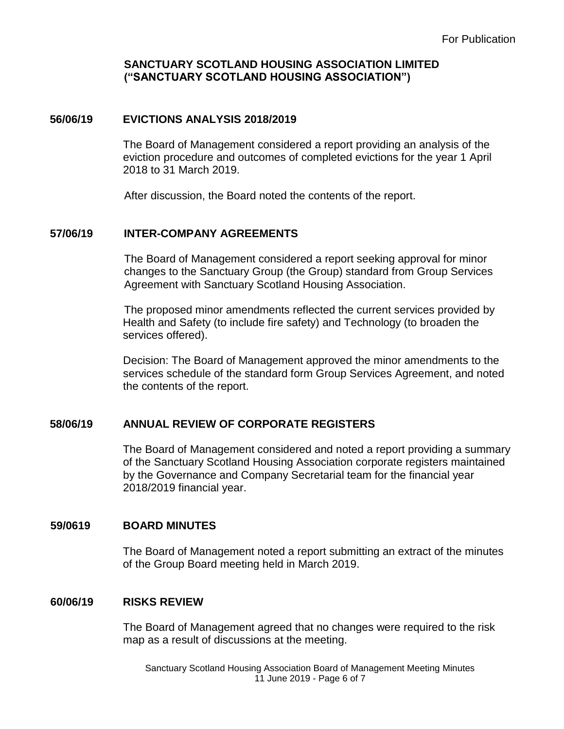# **56/06/19 EVICTIONS ANALYSIS 2018/2019**

The Board of Management considered a report providing an analysis of the eviction procedure and outcomes of completed evictions for the year 1 April 2018 to 31 March 2019.

After discussion, the Board noted the contents of the report.

#### **57/06/19 INTER-COMPANY AGREEMENTS**

The Board of Management considered a report seeking approval for minor changes to the Sanctuary Group (the Group) standard from Group Services Agreement with Sanctuary Scotland Housing Association.

The proposed minor amendments reflected the current services provided by Health and Safety (to include fire safety) and Technology (to broaden the services offered).

Decision: The Board of Management approved the minor amendments to the services schedule of the standard form Group Services Agreement, and noted the contents of the report.

# **58/06/19 ANNUAL REVIEW OF CORPORATE REGISTERS**

 The Board of Management considered and noted a report providing a summary of the Sanctuary Scotland Housing Association corporate registers maintained by the Governance and Company Secretarial team for the financial year 2018/2019 financial year.

#### **59/0619 BOARD MINUTES**

The Board of Management noted a report submitting an extract of the minutes of the Group Board meeting held in March 2019.

#### **60/06/19 RISKS REVIEW**

The Board of Management agreed that no changes were required to the risk map as a result of discussions at the meeting.